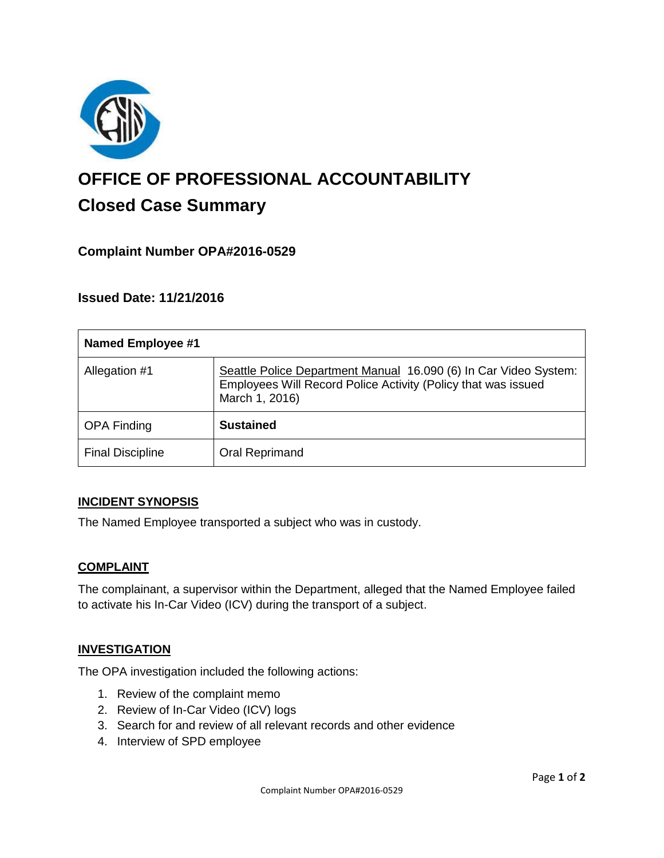

# **OFFICE OF PROFESSIONAL ACCOUNTABILITY Closed Case Summary**

# **Complaint Number OPA#2016-0529**

## **Issued Date: 11/21/2016**

| <b>Named Employee #1</b> |                                                                                                                                                     |
|--------------------------|-----------------------------------------------------------------------------------------------------------------------------------------------------|
| Allegation #1            | Seattle Police Department Manual 16.090 (6) In Car Video System:<br>Employees Will Record Police Activity (Policy that was issued<br>March 1, 2016) |
| <b>OPA Finding</b>       | <b>Sustained</b>                                                                                                                                    |
| <b>Final Discipline</b>  | Oral Reprimand                                                                                                                                      |

#### **INCIDENT SYNOPSIS**

The Named Employee transported a subject who was in custody.

#### **COMPLAINT**

The complainant, a supervisor within the Department, alleged that the Named Employee failed to activate his In-Car Video (ICV) during the transport of a subject.

#### **INVESTIGATION**

The OPA investigation included the following actions:

- 1. Review of the complaint memo
- 2. Review of In-Car Video (ICV) logs
- 3. Search for and review of all relevant records and other evidence
- 4. Interview of SPD employee